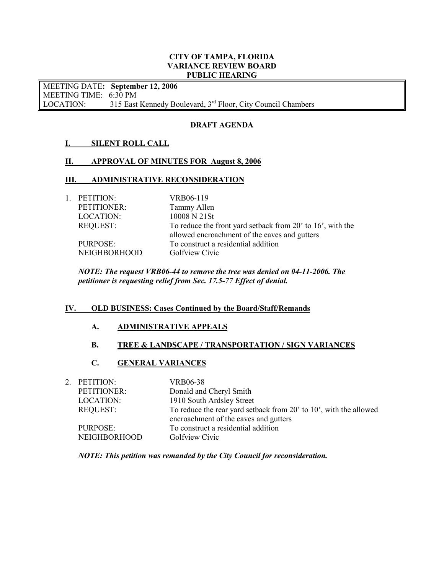### CITY OF TAMPA, FLORIDA VARIANCE REVIEW BOARD PUBLIC HEARING

 MEETING DATE: September 12, 2006 MEETING TIME: 6:30 PM LOCATION: 315 East Kennedy Boulevard,  $3<sup>rd</sup>$  Floor, City Council Chambers

# DRAFT AGENDA

# I. SILENT ROLL CALL

# II. APPROVAL OF MINUTES FOR August 8, 2006

## III. ADMINISTRATIVE RECONSIDERATION

 LOCATION: 10008 N 21St REQUEST: To reduce the front yard setback from 20' to 16', with the allowed encroachment of the eaves and gutters PURPOSE: To construct a residential addition 1. PETITION: VRB06-119 PETITIONER: Tammy Allen NEIGHBORHOOD Golfview Civic

NOTE: The request VRB06-44 to remove the tree was denied on 04-11-2006. The petitioner is requesting relief from Sec. 17.5-77 Effect of denial.

#### IV. OLD BUSINESS: Cases Continued by the Board/Staff/Remands

## A. ADMINISTRATIVE APPEALS

# B. TREE & LANDSCAPE / TRANSPORTATION / SIGN VARIANCES

# C. GENERAL VARIANCES

| 2. PETITION:        | VRB06-38                                                          |
|---------------------|-------------------------------------------------------------------|
| PETITIONER:         | Donald and Cheryl Smith                                           |
| LOCATION:           | 1910 South Ardsley Street                                         |
| <b>REQUEST:</b>     | To reduce the rear yard setback from 20' to 10', with the allowed |
|                     | encroachment of the eaves and gutters                             |
| PURPOSE:            | To construct a residential addition                               |
| <b>NEIGHBORHOOD</b> | Golfview Civic                                                    |
|                     |                                                                   |

NOTE: This petition was remanded by the City Council for reconsideration.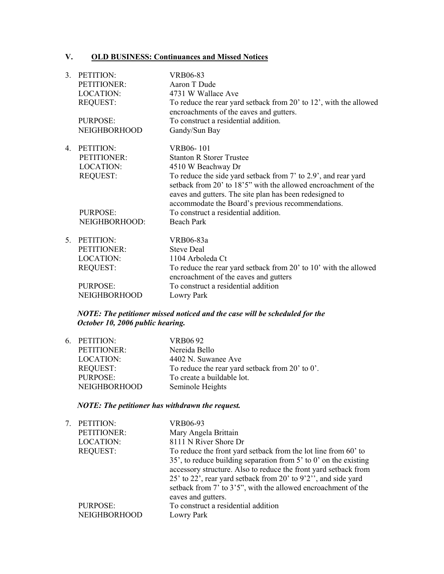#### V. **OLD BUSINESS: Continuances and Missed Notices**

| 3. | PETITION:           | <b>VRB06-83</b>                                                                                                                                                                                                                                  |
|----|---------------------|--------------------------------------------------------------------------------------------------------------------------------------------------------------------------------------------------------------------------------------------------|
|    | PETITIONER:         | Aaron T Dude                                                                                                                                                                                                                                     |
|    | <b>LOCATION:</b>    | 4731 W Wallace Ave                                                                                                                                                                                                                               |
|    | <b>REQUEST:</b>     | To reduce the rear yard setback from 20' to 12', with the allowed<br>encroachments of the eaves and gutters.                                                                                                                                     |
|    | <b>PURPOSE:</b>     | To construct a residential addition.                                                                                                                                                                                                             |
|    | <b>NEIGHBORHOOD</b> | Gandy/Sun Bay                                                                                                                                                                                                                                    |
| 4  | PETITION:           | VRB06-101                                                                                                                                                                                                                                        |
|    | PETITIONER:         | <b>Stanton R Storer Trustee</b>                                                                                                                                                                                                                  |
|    | <b>LOCATION:</b>    | 4510 W Beachway Dr                                                                                                                                                                                                                               |
|    | <b>REQUEST:</b>     | To reduce the side yard setback from 7' to 2.9', and rear yard<br>setback from 20' to 18'5" with the allowed encroachment of the<br>eaves and gutters. The site plan has been redesigned to<br>accommodate the Board's previous recommendations. |
|    | PURPOSE:            | To construct a residential addition.                                                                                                                                                                                                             |
|    | NEIGHBORHOOD:       | <b>Beach Park</b>                                                                                                                                                                                                                                |
| 5. | PETITION:           | VRB06-83a                                                                                                                                                                                                                                        |
|    | PETITIONER:         | <b>Steve Deal</b>                                                                                                                                                                                                                                |
|    | <b>LOCATION:</b>    | 1104 Arboleda Ct                                                                                                                                                                                                                                 |
|    | <b>REQUEST:</b>     | To reduce the rear yard setback from 20' to 10' with the allowed<br>encroachment of the eaves and gutters                                                                                                                                        |
|    | <b>PURPOSE:</b>     | To construct a residential addition                                                                                                                                                                                                              |
|    | <b>NEIGHBORHOOD</b> | Lowry Park                                                                                                                                                                                                                                       |
|    |                     |                                                                                                                                                                                                                                                  |

# NOTE: The petitioner missed noticed and the case will be scheduled for the October 10,  $2006$  public hearing.

|                     | VRB06 92                                        |
|---------------------|-------------------------------------------------|
| PETITIONER:         | Nereida Bello                                   |
| LOCATION:           | 4402 N. Suwanee Ave                             |
| <b>REQUEST:</b>     | To reduce the rear yard setback from 20' to 0'. |
| PURPOSE:            | To create a buildable lot.                      |
| <b>NEIGHBORHOOD</b> | Seminole Heights                                |
|                     | 6. PETITION:                                    |

# NOTE: The petitioner has withdrawn the request.

| 7. | PETITION:<br>PETITIONER:<br><b>LOCATION:</b><br><b>REQUEST:</b> | VRB06-93<br>Mary Angela Brittain<br>8111 N River Shore Dr<br>To reduce the front yard setback from the lot line from 60' to<br>35', to reduce building separation from $5'$ to $0'$ on the existing                      |
|----|-----------------------------------------------------------------|--------------------------------------------------------------------------------------------------------------------------------------------------------------------------------------------------------------------------|
|    |                                                                 | accessory structure. Also to reduce the front yard setback from<br>25' to 22', rear yard setback from 20' to 9'2'', and side yard<br>setback from 7' to 3'5", with the allowed encroachment of the<br>eaves and gutters. |
|    | PURPOSE:<br><b>NEIGHBORHOOD</b>                                 | To construct a residential addition<br>Lowry Park                                                                                                                                                                        |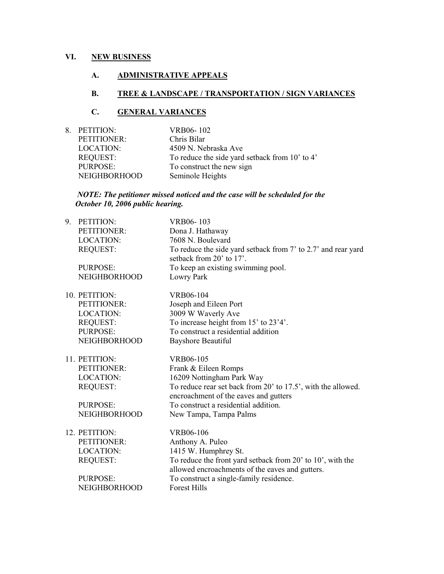# VI. NEW BUSINESS

# A. ADMINISTRATIVE APPEALS

## B. TREE & LANDSCAPE / TRANSPORTATION / SIGN VARIANCES

# C. GENERAL VARIANCES

| 8. PETITION:        | VRB06-102                                      |
|---------------------|------------------------------------------------|
| PETITIONER:         | Chris Bilar                                    |
| LOCATION:           | 4509 N. Nebraska Ave                           |
| <b>REQUEST:</b>     | To reduce the side yard setback from 10' to 4' |
| PURPOSE:            | To construct the new sign                      |
| <b>NEIGHBORHOOD</b> | Seminole Heights                               |

#### NOTE: The petitioner missed noticed and the case will be scheduled for the October 10, 2006 public hearing.

| 9. | PETITION:<br>PETITIONER:<br><b>LOCATION:</b><br><b>REQUEST:</b><br>PURPOSE:                                   | VRB06-103<br>Dona J. Hathaway<br>7608 N. Boulevard<br>To reduce the side yard setback from 7' to 2.7' and rear yard<br>setback from 20' to 17'.<br>To keep an existing swimming pool.                                                     |
|----|---------------------------------------------------------------------------------------------------------------|-------------------------------------------------------------------------------------------------------------------------------------------------------------------------------------------------------------------------------------------|
|    | <b>NEIGHBORHOOD</b>                                                                                           | Lowry Park                                                                                                                                                                                                                                |
|    | 10. PETITION:<br>PETITIONER:<br><b>LOCATION:</b><br><b>REQUEST:</b><br>PURPOSE:<br><b>NEIGHBORHOOD</b>        | VRB06-104<br>Joseph and Eileen Port<br>3009 W Waverly Ave<br>To increase height from 15' to 23'4'.<br>To construct a residential addition<br>Bayshore Beautiful                                                                           |
|    | 11. PETITION:<br>PETITIONER:<br><b>LOCATION:</b><br><b>REQUEST:</b><br><b>PURPOSE:</b><br><b>NEIGHBORHOOD</b> | VRB06-105<br>Frank & Eileen Romps<br>16209 Nottingham Park Way<br>To reduce rear set back from 20' to 17.5', with the allowed.<br>encroachment of the eaves and gutters<br>To construct a residential addition.<br>New Tampa, Tampa Palms |
|    | 12. PETITION:<br>PETITIONER:<br><b>LOCATION:</b><br><b>REQUEST:</b><br><b>PURPOSE:</b><br><b>NEIGHBORHOOD</b> | VRB06-106<br>Anthony A. Puleo<br>1415 W. Humphrey St.<br>To reduce the front yard setback from 20' to 10', with the<br>allowed encroachments of the eaves and gutters.<br>To construct a single-family residence.<br><b>Forest Hills</b>  |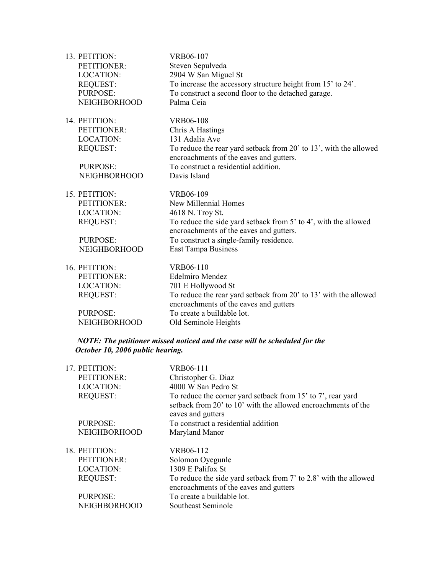| 13. PETITION:       | VRB06-107                                                                                                    |
|---------------------|--------------------------------------------------------------------------------------------------------------|
| PETITIONER:         | Steven Sepulveda                                                                                             |
| <b>LOCATION:</b>    | 2904 W San Miguel St                                                                                         |
| <b>REQUEST:</b>     | To increase the accessory structure height from 15' to 24'.                                                  |
| <b>PURPOSE:</b>     | To construct a second floor to the detached garage.                                                          |
| <b>NEIGHBORHOOD</b> | Palma Ceia                                                                                                   |
| 14. PETITION:       | VRB06-108                                                                                                    |
| PETITIONER:         | Chris A Hastings                                                                                             |
| <b>LOCATION:</b>    | 131 Adalia Ave                                                                                               |
| <b>REQUEST:</b>     | To reduce the rear yard setback from 20' to 13', with the allowed<br>encroachments of the eaves and gutters. |
| <b>PURPOSE:</b>     | To construct a residential addition.                                                                         |
| <b>NEIGHBORHOOD</b> | Davis Island                                                                                                 |
| 15. PETITION:       | VRB06-109                                                                                                    |
| PETITIONER:         | New Millennial Homes                                                                                         |
| <b>LOCATION:</b>    | 4618 N. Troy St.                                                                                             |
| <b>REQUEST:</b>     | To reduce the side yard setback from 5' to 4', with the allowed<br>encroachments of the eaves and gutters.   |
| <b>PURPOSE:</b>     | To construct a single-family residence.                                                                      |
| <b>NEIGHBORHOOD</b> | East Tampa Business                                                                                          |
| 16. PETITION:       | VRB06-110                                                                                                    |
| PETITIONER:         | <b>Edelmiro Mendez</b>                                                                                       |
| <b>LOCATION:</b>    | 701 E Hollywood St                                                                                           |
| <b>REQUEST:</b>     | To reduce the rear yard setback from 20' to 13' with the allowed<br>encroachments of the eaves and gutters   |
| <b>PURPOSE:</b>     | To create a buildable lot.                                                                                   |
| <b>NEIGHBORHOOD</b> | Old Seminole Heights                                                                                         |
|                     |                                                                                                              |

## NOTE: The petitioner missed noticed and the case will be scheduled for the October 10, 2006 public hearing.

| 17. PETITION:       | VRB06-111                                                                                                                                         |
|---------------------|---------------------------------------------------------------------------------------------------------------------------------------------------|
| PETITIONER:         | Christopher G. Diaz                                                                                                                               |
| <b>LOCATION:</b>    | 4000 W San Pedro St                                                                                                                               |
| <b>REQUEST:</b>     | To reduce the corner yard setback from 15' to 7', rear yard<br>setback from 20' to 10' with the allowed encroachments of the<br>eaves and gutters |
| PURPOSE:            | To construct a residential addition                                                                                                               |
| <b>NEIGHBORHOOD</b> | Maryland Manor                                                                                                                                    |
| 18. PETITION:       | VRB06-112                                                                                                                                         |
| PETITIONER:         | Solomon Oyegunle                                                                                                                                  |
| <b>LOCATION:</b>    | 1309 E Palifox St                                                                                                                                 |
| <b>REQUEST:</b>     | To reduce the side yard setback from 7' to 2.8' with the allowed<br>encroachments of the eaves and gutters                                        |
| PURPOSE:            | To create a buildable lot.                                                                                                                        |
| <b>NEIGHBORHOOD</b> | Southeast Seminole                                                                                                                                |
|                     |                                                                                                                                                   |